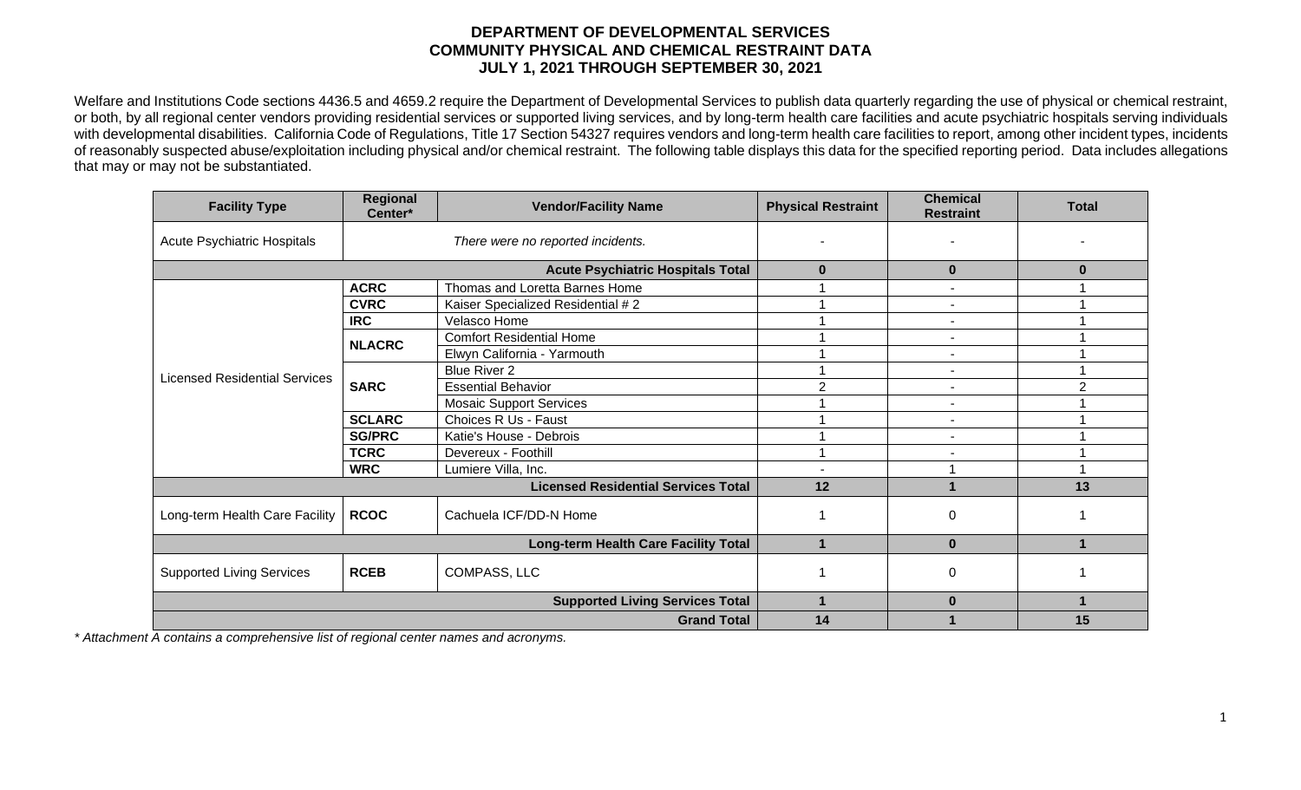## **DEPARTMENT OF DEVELOPMENTAL SERVICES COMMUNITY PHYSICAL AND CHEMICAL RESTRAINT DATA JULY 1, 2021 THROUGH SEPTEMBER 30, 2021**

Welfare and Institutions Code sections 4436.5 and 4659.2 require the Department of Developmental Services to publish data quarterly regarding the use of physical or chemical restraint, or both, by all regional center vendors providing residential services or supported living services, and by long-term health care facilities and acute psychiatric hospitals serving individuals with developmental disabilities. California Code of Regulations, Title 17 Section 54327 requires vendors and long-term health care facilities to report, among other incident types, incidents of reasonably suspected abuse/exploitation including physical and/or chemical restraint. The following table displays this data for the specified reporting period. Data includes allegations that may or may not be substantiated.

| <b>Facility Type</b>                       | Regional<br>Center*                    | <b>Vendor/Facility Name</b>       | <b>Physical Restraint</b> | <b>Chemical</b><br><b>Restraint</b> | <b>Total</b> |
|--------------------------------------------|----------------------------------------|-----------------------------------|---------------------------|-------------------------------------|--------------|
| Acute Psychiatric Hospitals                | There were no reported incidents.      |                                   |                           |                                     |              |
| <b>Acute Psychiatric Hospitals Total</b>   |                                        |                                   | $\bf{0}$                  | $\bf{0}$                            | 0            |
| <b>Licensed Residential Services</b>       | <b>ACRC</b>                            | Thomas and Loretta Barnes Home    |                           | $\overline{\phantom{a}}$            |              |
|                                            | <b>CVRC</b>                            | Kaiser Specialized Residential #2 |                           | $\overline{\phantom{a}}$            |              |
|                                            | <b>IRC</b>                             | Velasco Home                      |                           | $\overline{\phantom{a}}$            |              |
|                                            | <b>NLACRC</b>                          | <b>Comfort Residential Home</b>   |                           |                                     |              |
|                                            |                                        | Elwyn California - Yarmouth       |                           | $\blacksquare$                      |              |
|                                            | <b>SARC</b>                            | <b>Blue River 2</b>               |                           | $\blacksquare$                      |              |
|                                            |                                        | <b>Essential Behavior</b>         | 2                         | $\blacksquare$                      | 2            |
|                                            |                                        | <b>Mosaic Support Services</b>    |                           | $\blacksquare$                      |              |
|                                            | <b>SCLARC</b>                          | Choices R Us - Faust              |                           |                                     |              |
|                                            | <b>SG/PRC</b>                          | Katie's House - Debrois           |                           | $\blacksquare$                      |              |
|                                            | <b>TCRC</b>                            | Devereux - Foothill               |                           |                                     |              |
|                                            | <b>WRC</b>                             | Lumiere Villa, Inc.               |                           |                                     |              |
| <b>Licensed Residential Services Total</b> |                                        |                                   | 12                        |                                     | 13           |
| Long-term Health Care Facility             | <b>RCOC</b>                            | Cachuela ICF/DD-N Home            |                           | 0                                   |              |
| Long-term Health Care Facility Total       |                                        |                                   | 1                         | $\bf{0}$                            |              |
| <b>Supported Living Services</b>           | <b>RCEB</b>                            | COMPASS, LLC                      |                           | 0                                   |              |
|                                            | <b>Supported Living Services Total</b> | 1                                 | $\bf{0}$                  |                                     |              |
| <b>Grand Total</b>                         |                                        |                                   | 14                        |                                     | 15           |

*\* Attachment A contains a comprehensive list of regional center names and acronyms.*